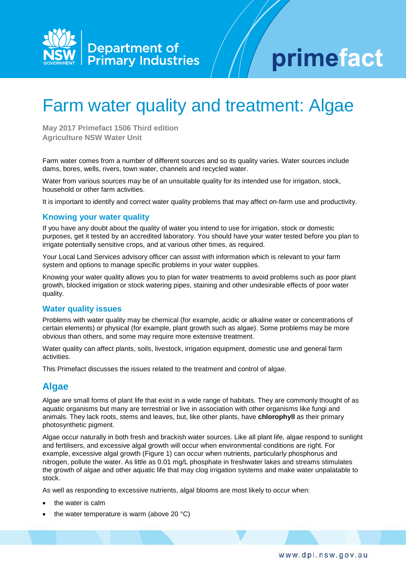

# primefact

# Farm water quality and treatment: Algae

**May 2017 Primefact 1506 Third edition Agriculture NSW Water Unit**

Farm water comes from a number of different sources and so its quality varies. Water sources include dams, bores, wells, rivers, town water, channels and recycled water.

Water from various sources may be of an unsuitable quality for its intended use for irrigation, stock, household or other farm activities.

It is important to identify and correct water quality problems that may affect on-farm use and productivity.

#### **Knowing your water quality**

If you have any doubt about the quality of water you intend to use for irrigation, stock or domestic purposes, get it tested by an accredited laboratory. You should have your water tested before you plan to irrigate potentially sensitive crops, and at various other times, as required.

Your Local Land Services advisory officer can assist with information which is relevant to your farm system and options to manage specific problems in your water supplies.

Knowing your water quality allows you to plan for water treatments to avoid problems such as poor plant growth, blocked irrigation or stock watering pipes, staining and other undesirable effects of poor water quality.

#### **Water quality issues**

Problems with water quality may be chemical (for example, acidic or alkaline water or concentrations of certain elements) or physical (for example, plant growth such as algae). Some problems may be more obvious than others, and some may require more extensive treatment.

Water quality can affect plants, soils, livestock, irrigation equipment, domestic use and general farm activities.

This Primefact discusses the issues related to the treatment and control of algae.

## **Algae**

Algae are small forms of plant life that exist in a wide range of habitats. They are commonly thought of as aquatic organisms but many are terrestrial or live in association with other organisms like fungi and animals. They lack roots, stems and leaves, but, like other plants, have **chlorophyll** as their primary photosynthetic pigment.

Algae occur naturally in both fresh and brackish water sources. Like all plant life, algae respond to sunlight and fertilisers, and excessive algal growth will occur when environmental conditions are right. For example, excessive algal growth (Figure 1) can occur when nutrients, particularly phosphorus and nitrogen, pollute the water. As little as 0.01 mg/L phosphate in freshwater lakes and streams stimulates the growth of algae and other aquatic life that may clog irrigation systems and make water unpalatable to stock.

As well as responding to excessive nutrients, algal blooms are most likely to occur when:

- the water is calm
- the water temperature is warm (above 20 $°C$ )

www.dpi.nsw.gov.au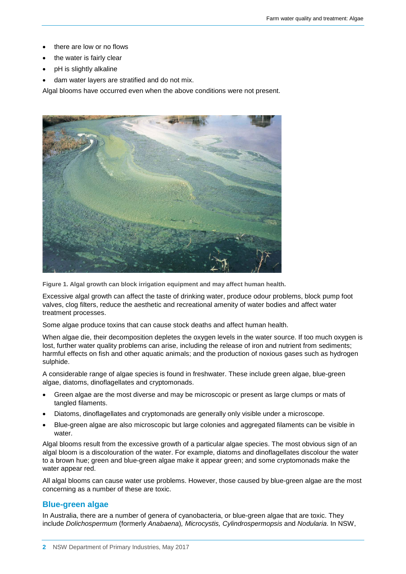- there are low or no flows
- the water is fairly clear
- pH is slightly alkaline
- dam water layers are stratified and do not mix.

Algal blooms have occurred even when the above conditions were not present.



**Figure 1. Algal growth can block irrigation equipment and may affect human health.**

Excessive algal growth can affect the taste of drinking water, produce odour problems, block pump foot valves, clog filters, reduce the aesthetic and recreational amenity of water bodies and affect water treatment processes.

Some algae produce toxins that can cause stock deaths and affect human health.

When algae die, their decomposition depletes the oxygen levels in the water source. If too much oxygen is lost, further water quality problems can arise, including the release of iron and nutrient from sediments; harmful effects on fish and other aquatic animals; and the production of noxious gases such as hydrogen sulphide.

A considerable range of algae species is found in freshwater. These include green algae, blue-green algae, diatoms, dinoflagellates and cryptomonads.

- Green algae are the most diverse and may be microscopic or present as large clumps or mats of tangled filaments.
- Diatoms, dinoflagellates and cryptomonads are generally only visible under a microscope.
- Blue-green algae are also microscopic but large colonies and aggregated filaments can be visible in water.

Algal blooms result from the excessive growth of a particular algae species. The most obvious sign of an algal bloom is a discolouration of the water. For example, diatoms and dinoflagellates discolour the water to a brown hue; green and blue-green algae make it appear green; and some cryptomonads make the water appear red.

All algal blooms can cause water use problems. However, those caused by blue-green algae are the most concerning as a number of these are toxic.

#### **Blue-green algae**

In Australia, there are a number of genera of cyanobacteria, or blue-green algae that are toxic. They include *Dolichospermum* (formerly *Anabaena*)*, Microcystis, Cylindrospermopsis* and *Nodularia*. In NSW,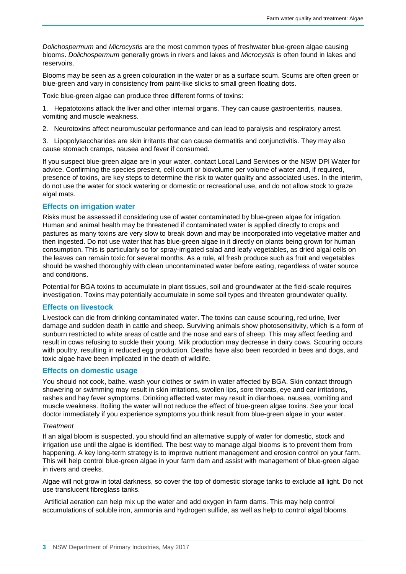*Dolichospermum* and *Microcystis* are the most common types of freshwater blue-green algae causing blooms. *Dolichospermum* generally grows in rivers and lakes and *Microcystis* is often found in lakes and reservoirs.

Blooms may be seen as a green colouration in the water or as a surface scum. Scums are often green or blue-green and vary in consistency from paint-like slicks to small green floating dots.

Toxic blue-green algae can produce three different forms of toxins:

1. Hepatotoxins attack the liver and other internal organs. They can cause gastroenteritis, nausea, vomiting and muscle weakness.

2. Neurotoxins affect neuromuscular performance and can lead to paralysis and respiratory arrest.

3. Lipopolysaccharides are skin irritants that can cause dermatitis and conjunctivitis. They may also cause stomach cramps, nausea and fever if consumed.

If you suspect blue-green algae are in your water, contact Local Land Services or the NSW DPI Water for advice. Confirming the species present, cell count or biovolume per volume of water and, if required, presence of toxins, are key steps to determine the risk to water quality and associated uses. In the interim, do not use the water for stock watering or domestic or recreational use, and do not allow stock to graze algal mats.

#### **Effects on irrigation water**

Risks must be assessed if considering use of water contaminated by blue-green algae for irrigation. Human and animal health may be threatened if contaminated water is applied directly to crops and pastures as many toxins are very slow to break down and may be incorporated into vegetative matter and then ingested. Do not use water that has blue-green algae in it directly on plants being grown for human consumption. This is particularly so for spray-irrigated salad and leafy vegetables, as dried algal cells on the leaves can remain toxic for several months. As a rule, all fresh produce such as fruit and vegetables should be washed thoroughly with clean uncontaminated water before eating, regardless of water source and conditions.

Potential for BGA toxins to accumulate in plant tissues, soil and groundwater at the field-scale requires investigation. Toxins may potentially accumulate in some soil types and threaten groundwater quality.

#### **Effects on livestock**

Livestock can die from drinking contaminated water. The toxins can cause scouring, red urine, liver damage and sudden death in cattle and sheep. Surviving animals show photosensitivity, which is a form of sunburn restricted to white areas of cattle and the nose and ears of sheep. This may affect feeding and result in cows refusing to suckle their young. Milk production may decrease in dairy cows. Scouring occurs with poultry, resulting in reduced egg production. Deaths have also been recorded in bees and dogs, and toxic algae have been implicated in the death of wildlife.

#### **Effects on domestic usage**

You should not cook, bathe, wash your clothes or swim in water affected by BGA. Skin contact through showering or swimming may result in skin irritations, swollen lips, sore throats, eye and ear irritations, rashes and hay fever symptoms. Drinking affected water may result in diarrhoea, nausea, vomiting and muscle weakness. Boiling the water will not reduce the effect of blue-green algae toxins. See your local doctor immediately if you experience symptoms you think result from blue-green algae in your water.

#### *Treatment*

If an algal bloom is suspected, you should find an alternative supply of water for domestic, stock and irrigation use until the algae is identified. The best way to manage algal blooms is to prevent them from happening. A key long-term strategy is to improve nutrient management and erosion control on your farm. This will help control blue-green algae in your farm dam and assist with management of blue-green algae in rivers and creeks.

Algae will not grow in total darkness, so cover the top of domestic storage tanks to exclude all light. Do not use translucent fibreglass tanks.

Artificial aeration can help mix up the water and add oxygen in farm dams. This may help control accumulations of soluble iron, ammonia and hydrogen sulfide, as well as help to control algal blooms.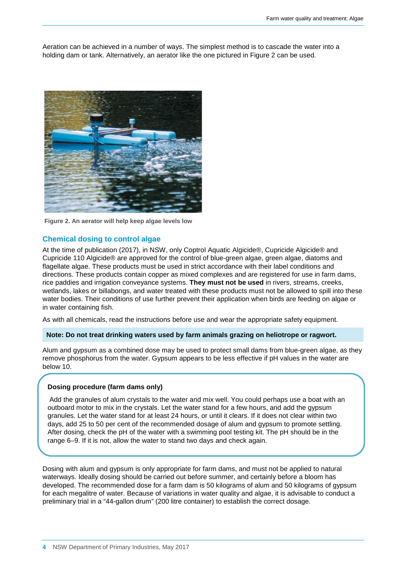Aeration can be achieved in a number of ways. The simplest method is to cascade the water into a holding dam or tank. Alternatively, an aerator like the one pictured in Figure 2 can be used.



**Figure 2. An aerator will help keep algae levels low**

#### **Chemical dosing to control algae**

At the time of publication (2017), in NSW, only Coptrol Aquatic Algicide®, Cupricide Algicide® and Cupricide 110 Algicide® are approved for the control of blue-green algae, green algae, diatoms and flagellate algae. These products must be used in strict accordance with their label conditions and directions. These products contain copper as mixed complexes and are registered for use in farm dams, rice paddies and irrigation conveyance systems. **They must not be used** in rivers, streams, creeks, wetlands, lakes or billabongs, and water treated with these products must not be allowed to spill into these water bodies. Their conditions of use further prevent their application when birds are feeding on algae or in water containing fish.

As with all chemicals, read the instructions before use and wear the appropriate safety equipment.

#### **Note: Do not treat drinking waters used by farm animals grazing on heliotrope or ragwort.**

Alum and gypsum as a combined dose may be used to protect small dams from blue-green algae, as they remove phosphorus from the water. Gypsum appears to be less effective if pH values in the water are below 10.

#### **Dosing procedure (farm dams only)**

Add the granules of alum crystals to the water and mix well. You could perhaps use a boat with an outboard motor to mix in the crystals. Let the water stand for a few hours, and add the gypsum granules. Let the water stand for at least 24 hours, or until it clears. If it does not clear within two days, add 25 to 50 per cent of the recommended dosage of alum and gypsum to promote settling. After dosing, check the pH of the water with a swimming pool testing kit. The pH should be in the range 6–9. If it is not, allow the water to stand two days and check again.

Dosing with alum and gypsum is only appropriate for farm dams, and must not be applied to natural waterways. Ideally dosing should be carried out before summer, and certainly before a bloom has developed. The recommended dose for a farm dam is 50 kilograms of alum and 50 kilograms of gypsum for each megalitre of water. Because of variations in water quality and algae, it is advisable to conduct a preliminary trial in a "44-gallon drum" (200 litre container) to establish the correct dosage.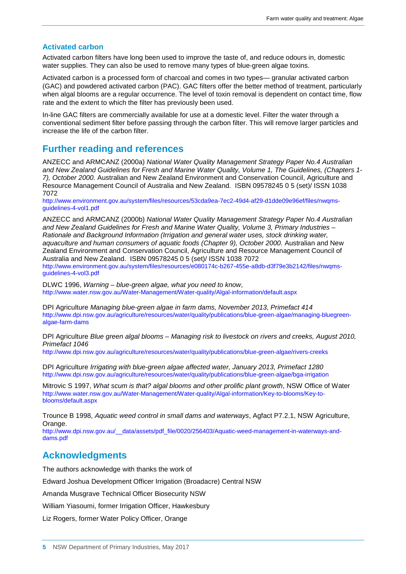#### **Activated carbon**

Activated carbon filters have long been used to improve the taste of, and reduce odours in, domestic water supplies. They can also be used to remove many types of blue-green algae toxins.

Activated carbon is a processed form of charcoal and comes in two types— granular activated carbon (GAC) and powdered activated carbon (PAC). GAC filters offer the better method of treatment, particularly when algal blooms are a regular occurrence. The level of toxin removal is dependent on contact time, flow rate and the extent to which the filter has previously been used.

In-line GAC filters are commercially available for use at a domestic level. Filter the water through a conventional sediment filter before passing through the carbon filter. This will remove larger particles and increase the life of the carbon filter.

### **Further reading and references**

ANZECC and ARMCANZ (2000a) *National Water Quality Management Strategy Paper No.4 Australian and New Zealand Guidelines for Fresh and Marine Water Quality, Volume 1, The Guidelines, (Chapters 1- 7), October 2000.* Australian and New Zealand Environment and Conservation Council, Agriculture and Resource Management Council of Australia and New Zealand. ISBN 09578245 0 5 (set)/ ISSN 1038 7072

http://www.environment.gov.au/system/files/resources/53cda9ea-7ec2-49d4-af29-d1dde09e96ef/files/nwgms[guidelines-4-vol1.pdf](http://www.environment.gov.au/system/files/resources/53cda9ea-7ec2-49d4-af29-d1dde09e96ef/files/nwqms-guidelines-4-vol1.pdf)

ANZECC and ARMCANZ (2000b) *National Water Quality Management Strategy Paper No.4 Australian and New Zealand Guidelines for Fresh and Marine Water Quality, Volume 3, Primary Industries – Rationale and Background Information (Irrigation and general water uses, stock drinking water, aquaculture and human consumers of aquatic foods (Chapter 9), October 2000.* Australian and New Zealand Environment and Conservation Council, Agriculture and Resource Management Council of Australia and New Zealand. ISBN 09578245 0 5 (set)/ ISSN 1038 7072 [http://www.environment.gov.au/system/files/resources/e080174c-b267-455e-a8db-d3f79e3b2142/files/nwqms](http://www.environment.gov.au/system/files/resources/e080174c-b267-455e-a8db-d3f79e3b2142/files/nwqms-guidelines-4-vol3.pdf)[guidelines-4-vol3.pdf](http://www.environment.gov.au/system/files/resources/e080174c-b267-455e-a8db-d3f79e3b2142/files/nwqms-guidelines-4-vol3.pdf)

DLWC 1996, *Warning – blue-green algae, what you need to know*, <http://www.water.nsw.gov.au/Water-Management/Water-quality/Algal-information/default.aspx>

DPI Agriculture *[Managing blue-green algae in farm dams, November 2013, Primefact 414](http://www.agric.nsw.gov.au/reader/water-quality/agfact-ac25.htm)*  [http://www.dpi.nsw.gov.au/agriculture/resources/water/quality/publications/blue-green-algae/managing-bluegreen](http://www.dpi.nsw.gov.au/agriculture/resources/water/quality/publications/blue-green-algae/managing-bluegreen-algae-farm-dams)[algae-farm-dams](http://www.dpi.nsw.gov.au/agriculture/resources/water/quality/publications/blue-green-algae/managing-bluegreen-algae-farm-dams) 

DPI Agriculture *Blue green algal blooms – Managing risk to livestock on rivers and creeks, August 2010, Primefact 1046*

<http://www.dpi.nsw.gov.au/agriculture/resources/water/quality/publications/blue-green-algae/rivers-creeks>

DPI Agriculture *Irrigating with blue-green algae affected water, January 2013, Primefact 1280* <http://www.dpi.nsw.gov.au/agriculture/resources/water/quality/publications/blue-green-algae/bga-irrigation>

Mitrovic S 1997, *What scum is that? algal blooms and other prolific plant growth*, NSW Office of Water [http://www.water.nsw.gov.au/Water-Management/Water-quality/Algal-information/Key-to-blooms/Key-to](http://www.water.nsw.gov.au/Water-Management/Water-quality/Algal-information/Key-to-blooms/Key-to-blooms/default.aspx)[blooms/default.aspx](http://www.water.nsw.gov.au/Water-Management/Water-quality/Algal-information/Key-to-blooms/Key-to-blooms/default.aspx)

Trounce B 1998, *Aquatic weed control in small dams and waterways*, Agfact P7.2.1, NSW Agriculture, Orange.

[http://www.dpi.nsw.gov.au/\\_\\_data/assets/pdf\\_file/0020/256403/Aquatic-weed-management-in-waterways-and](http://www.dpi.nsw.gov.au/__data/assets/pdf_file/0020/256403/Aquatic-weed-management-in-waterways-and-dams.pdf)[dams.pdf](http://www.dpi.nsw.gov.au/__data/assets/pdf_file/0020/256403/Aquatic-weed-management-in-waterways-and-dams.pdf)

#### **Acknowledgments**

The authors acknowledge with thanks the work of

Edward Joshua Development Officer Irrigation (Broadacre) Central NSW

Amanda Musgrave Technical Officer Biosecurity NSW

William Yiasoumi, former Irrigation Officer, Hawkesbury

Liz Rogers, former Water Policy Officer, Orange